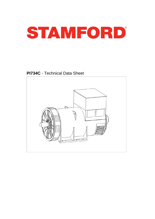

**PI734C** - Technical Data Sheet

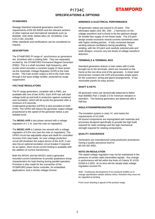## PI734C **SPECIFICATIONS & OPTIONS**



### **STANDARDS**

Newage Stamford industrial generators meet the requirements of BS EN 60034 and the relevant sections of other national and international standards such as BS5000, VDE 0530, NEMA MG1-32, IEC60034, CSA C22.2-100, AS1359.

Other standards and certifications can be considered on request.

### **DESCRIPTION**

The STAMFORD PI range of synchronous ac generators are brushless with a rotating field. They are separately excited by the STAMFORD Permanent Magnet Generator (PMG). This is a shaft mounted, high frequency, pilot exciter which provides a constant supply of clean power via the Automatic Voltage Regulator (AVR) to the main exciter. The main exciter output is fed to the main rotor, through a full wave bridge rectifier, protected by surge suppression.

### **VOLTAGE REGULATORS**

The PI range generators, complete with a PMG, are available with one of two AVRs. Each AVR has soft start voltage build up and built in protection against sustained over-excitation, which will de-excite the generator after a minimum of 8 seconds.

Underspeed protection (UFRO) is also provided on both AVRs. The UFRO will reduce the generator output voltage proportional to the speed of the generator below a presettable level.

The **MX341 AVR** is two phase sensed with a voltage regulation of  $\pm$  1 %. (see the note on regulation).

The **MX321 AVR** is 3 phase rms sensed with a voltage regulation of 0.5% rms (see the note on regulation). The UFRO circuit has adjustable slope and dwell for controlled recovery from step loads. An over voltage protection circuit will shutdown the output device of the AVR, it can also trip an optional excitation circuit breaker if required. As an option, short circuit current limiting is available with the addition of current transformers.

Both the MX341 and the MX321 need a generator mounted current transformer to provide quadrature droop characteristics for load sharing during parallel operation. Provision is also made for the connection of the STAMFORD power factor controller, for embedded applications, and a remote voltage trimmer.

### **WINDINGS & ELECTRICAL PERFORMANCE**

All generator stators are wound to 2/3 pitch. This eliminates triplen (3rd, 9th, 15th …) harmonics on the voltage waveform and is found to be the optimum design for trouble-free supply of non-linear loads. The 2/3 pitch design avoids excessive neutral currents sometimes seen with higher winding pitches. A fully connected damper winding reduces oscillations during paralleling. This winding, with the 2/3 pitch and carefully selected pole and tooth designs, ensures very low levels of voltage waveform distortion.

### **TERMINALS & TERMINAL BOX**

Standard generators feature a main stator with 6 ends brought out to the terminals, which are mounted on the frame at the non-drive end of the generator. A sheet steel terminal box contains the AVR and provides ample space for the customers' wiring and gland arrangements. It has removable panels for easy access.

### **SHAFT & KEYS**

All generator rotors are dynamically balanced to better than BS6861:Part 1 Grade 2.5 for minimum vibration in operation. Two bearing generators are balanced with a half key.

### **INSULATION/IMPREGNATION**

The insulation system is class 'H', and meets the requirements of UL1446.

All wound components are impregnated with materials and processes designed specifically to provide the high build required for static windings and the high mechanical strength required for rotating components.

### **QUALITY ASSURANCE**

Generators are manufactured using production procedures having a quality assurance level to BS EN ISO 9001.

### **NOTE ON REGULATION**

The stated voltage regulation may not be maintained in the presence of certain radio transmitted signals. Any change in performance will fall within the limits of Criteria 'B' of EN 61000-6-2:2001. At no time will the steady-state voltage regulation exceed 2%.

Note: Continuous development of our products entitles us to change specification details without notice, therefore they must not be regarded as binding.

Front cover drawing is typical of the product range.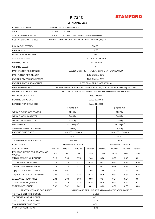# **STAMFORD**

## **WINDING 312**

| <b>CONTROL SYSTEM</b>                                   | SEPARATELY EXCITED BY P.M.G.                     |                                                                                      |                                   |                   |                                   |         |         |         |  |  |  |  |
|---------------------------------------------------------|--------------------------------------------------|--------------------------------------------------------------------------------------|-----------------------------------|-------------------|-----------------------------------|---------|---------|---------|--|--|--|--|
| A.V.R.                                                  | MX321<br>MX341                                   |                                                                                      |                                   |                   |                                   |         |         |         |  |  |  |  |
| <b>VOLTAGE REGULATION</b>                               | ±1%<br>± 0.5 %<br>With 4% ENGINE GOVERNING       |                                                                                      |                                   |                   |                                   |         |         |         |  |  |  |  |
| <b>SUSTAINED SHORT CIRCUIT</b>                          | REFER TO SHORT CIRCUIT DECREMENT CURVES (page 7) |                                                                                      |                                   |                   |                                   |         |         |         |  |  |  |  |
| <b>INSULATION SYSTEM</b>                                | <b>CLASS H</b>                                   |                                                                                      |                                   |                   |                                   |         |         |         |  |  |  |  |
| <b>PROTECTION</b>                                       | IP23                                             |                                                                                      |                                   |                   |                                   |         |         |         |  |  |  |  |
| <b>RATED POWER FACTOR</b>                               | 0.8                                              |                                                                                      |                                   |                   |                                   |         |         |         |  |  |  |  |
| <b>STATOR WINDING</b>                                   | DOUBLE LAYER LAP                                 |                                                                                      |                                   |                   |                                   |         |         |         |  |  |  |  |
| <b>WINDING PITCH</b>                                    | <b>TWO THIRDS</b>                                |                                                                                      |                                   |                   |                                   |         |         |         |  |  |  |  |
| <b>WINDING LEADS</b>                                    | 6                                                |                                                                                      |                                   |                   |                                   |         |         |         |  |  |  |  |
| <b>MAIN STATOR RESISTANCE</b>                           |                                                  | 0.00126 Ohms PER PHASE AT 22°C STAR CONNECTED                                        |                                   |                   |                                   |         |         |         |  |  |  |  |
| <b>MAIN ROTOR RESISTANCE</b>                            |                                                  |                                                                                      |                                   | 1.85 Ohms at 22°C |                                   |         |         |         |  |  |  |  |
| <b>EXCITER STATOR RESISTANCE</b>                        |                                                  |                                                                                      |                                   | 17.5 Ohms at 22°C |                                   |         |         |         |  |  |  |  |
| <b>EXCITER ROTOR RESISTANCE</b>                         |                                                  |                                                                                      |                                   |                   | 0.063 Ohms PER PHASE AT 22°C      |         |         |         |  |  |  |  |
| R.F.I. SUPPRESSION                                      |                                                  | BS EN 61000-6-2 & BS EN 61000-6-4, VDE 0875G, VDE 0875N. refer to factory for others |                                   |                   |                                   |         |         |         |  |  |  |  |
| <b>WAVEFORM DISTORTION</b>                              |                                                  | NO LOAD < 1.5% NON-DISTORTING BALANCED LINEAR LOAD < 5.0%                            |                                   |                   |                                   |         |         |         |  |  |  |  |
| <b>MAXIMUM OVERSPEED</b>                                |                                                  | 2250 Rev/Min                                                                         |                                   |                   |                                   |         |         |         |  |  |  |  |
| BEARING DRIVE END                                       |                                                  |                                                                                      |                                   | BALL. 6228 C3     |                                   |         |         |         |  |  |  |  |
| BEARING NON-DRIVE END                                   |                                                  |                                                                                      |                                   | BALL. 6319 C3     |                                   |         |         |         |  |  |  |  |
|                                                         |                                                  |                                                                                      | 1 BEARING                         |                   | 2 BEARING                         |         |         |         |  |  |  |  |
| <b>WEIGHT COMP. GENERATOR</b>                           |                                                  |                                                                                      | 3018 kg                           |                   | 2967 kg                           |         |         |         |  |  |  |  |
| <b>WEIGHT WOUND STATOR</b>                              |                                                  |                                                                                      | 1445 kg                           |                   | 1445 kg                           |         |         |         |  |  |  |  |
| <b>WEIGHT WOUND ROTOR</b>                               |                                                  |                                                                                      | 1257 kg                           |                   | 1195 kg                           |         |         |         |  |  |  |  |
| WR <sup>2</sup> INERTIA                                 |                                                  |                                                                                      | 37.3309 kgm <sup>2</sup>          |                   | 36.33 kgm <sup>2</sup>            |         |         |         |  |  |  |  |
| SHIPPING WEIGHTS in a crate                             |                                                  |                                                                                      | 3091kg                            |                   | 3036kg                            |         |         |         |  |  |  |  |
| PACKING CRATE SIZE                                      |                                                  | 194 x 105 x 154(cm)                                                                  |                                   |                   | 194 x 105 x 154(cm)               |         |         |         |  |  |  |  |
|                                                         |                                                  |                                                                                      | 50 Hz                             |                   | 60 Hz                             |         |         |         |  |  |  |  |
| <b>TELEPHONE INTERFERENCE</b>                           |                                                  |                                                                                      | <b>THF&lt;2%</b>                  |                   | <b>TIF&lt;50</b>                  |         |         |         |  |  |  |  |
| <b>COOLING AIR</b>                                      |                                                  |                                                                                      | 2.69 m <sup>3</sup> /sec 5700 cfm |                   | 3.45 m <sup>3</sup> /sec 7300 cfm |         |         |         |  |  |  |  |
| <b>VOLTAGE STAR</b>                                     | 380/220                                          | 400/231                                                                              | 415/240                           | 440/254           | 416/240                           | 440/254 | 460/266 | 480/277 |  |  |  |  |
| <b>kVA BASE RATING FOR REACTANCE</b><br><b>VALUES</b>   | 1505                                             | 1550                                                                                 | 1550                              | 1520              | 1705                              | 1815    | 1855    | 1890    |  |  |  |  |
| Xd DIR. AXIS SYNCHRONOUS                                | 3.18                                             | 2.96                                                                                 | 2.75                              | 2.40              | 3.86                              | 3.67    | 3.43    | 3.21    |  |  |  |  |
| X'd DIR. AXIS TRANSIENT                                 | 0.19                                             | 0.18                                                                                 | 0.17                              | 0.15              | 0.23                              | 0.22    | 0.21    | 0.20    |  |  |  |  |
| IX"d DIR. AXIS SUBTRANSIENT                             | 0.14                                             | 0.13                                                                                 | 0.12                              | 0.11              | 0.17                              | 0.16    | 0.15    | 0.14    |  |  |  |  |
| Xq QUAD. AXIS REACTANCE                                 | 2.05                                             | 1.91                                                                                 | 1.77                              | 1.55              | 2.49                              | 2.37    | 2.22    | 2.07    |  |  |  |  |
| X"q QUAD. AXIS SUBTRANSIENT                             | 0.29                                             | 0.27                                                                                 | 0.25                              | 0.22              | 0.35                              | 0.33    | 0.31    | 0.29    |  |  |  |  |
| <b>XL LEAKAGE REACTANCE</b>                             | 0.04                                             | 0.03                                                                                 | 0.03                              | 0.03              | 0.04                              | 0.04    | 0.04    | 0.04    |  |  |  |  |
| X <sub>2</sub> NEGATIVE SEQUENCE                        | 0.20                                             | 0.19                                                                                 | 0.18                              | 0.15              | 0.25                              | 0.23    | 0.22    | 0.21    |  |  |  |  |
| X <sub>0</sub> ZERO SEQUENCE                            | 0.02                                             | 0.02                                                                                 | 0.02                              | 0.02              | 0.03<br>0.03<br>0.03<br>0.03      |         |         |         |  |  |  |  |
| REACTANCES ARE SATURATED                                |                                                  | VALUES ARE PER UNIT AT RATING AND VOLTAGE INDICATED                                  |                                   |                   |                                   |         |         |         |  |  |  |  |
| T'd TRANSIENT TIME CONST.                               | 0.135s                                           |                                                                                      |                                   |                   |                                   |         |         |         |  |  |  |  |
| T"d SUB-TRANSTIME CONST.<br>T'do O.C. FIELD TIME CONST. | 0.01s<br>2.23s                                   |                                                                                      |                                   |                   |                                   |         |         |         |  |  |  |  |
| Ta ARMATURE TIME CONST.                                 | 0.02s                                            |                                                                                      |                                   |                   |                                   |         |         |         |  |  |  |  |
| <b>SHORT CIRCUIT RATIO</b>                              | 1/Xd                                             |                                                                                      |                                   |                   |                                   |         |         |         |  |  |  |  |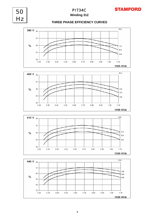

# **Winding 312** PI734C

50 Hz

## **THREE PHASE EFFICIENCY CURVES**







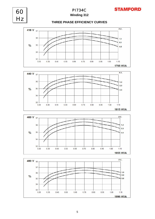

**Winding 312**

60

Hz

## **THREE PHASE EFFICIENCY CURVES**







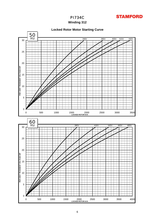

## **Winding 312**



0 500 1000 1500 2000 2500 3000 3500 4000 **LOCKED ROTOR kVA**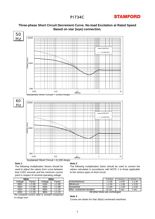# **STAMFORD**



## **Three-phase Short Circuit Decrement Curve. No-load Excitation at Rated Speed Based on star (wye) connection.**

### **Note 1**

The following multiplication factors should be used to adjust the values from curve between time 0.001 seconds and the minimum current point in respect of nominal operating voltage :

|                  | 50Hz           | 60Hz             |           |  |  |  |  |  |
|------------------|----------------|------------------|-----------|--|--|--|--|--|
| Voltage          | Factor         | Voltage          | Factor    |  |  |  |  |  |
| 380 <sub>v</sub> | $x$ 1.00       | 416 <sub>v</sub> | $x$ 1.00  |  |  |  |  |  |
| 400v             | $x\sqrt{1.05}$ | 440v             | $x$ 1.06  |  |  |  |  |  |
| 415v             | $x\sqrt{1.09}$ | 460v             | $x\,1.10$ |  |  |  |  |  |
| 440 <sub>v</sub> | x 1.16         | 480v             | x 1.15    |  |  |  |  |  |

The sustained current value is constant irrespective of voltage level

#### **Note 2**

The following multiplication factor should be used to convert the values calculated in accordance with NOTE 1 to those applicable to the various types of short circuit :

|                    | 50Hz<br>60Hz          |                  |        | 3-phase                 | 2-phase L-L I | 1-phase L-N |  |
|--------------------|-----------------------|------------------|--------|-------------------------|---------------|-------------|--|
| Voltage            | Factor                | Voltage          | Factor | Instantaneous           | .00<br>x 1    | x 0.87      |  |
| 380v               | .00<br>v              | 416v             | .00    | Minimum                 | .00<br>x ʻ    | x 1.80      |  |
| 400v               | .05<br><b>x</b> 1.    | 440v             | .06    | Sustained               | .00<br>x 1    | x 1.50      |  |
| $\overline{415}$ v | .09<br>$\mathsf{v}$ . | 460 <sub>v</sub> | x 1.10 | Max. sustained duration | $10$ sec.     | 5 sec.      |  |
|                    |                       |                  |        |                         |               |             |  |

All other times are unchanged

#### **Note 3**

Curves are drawn for Star (Wye) connected machines.